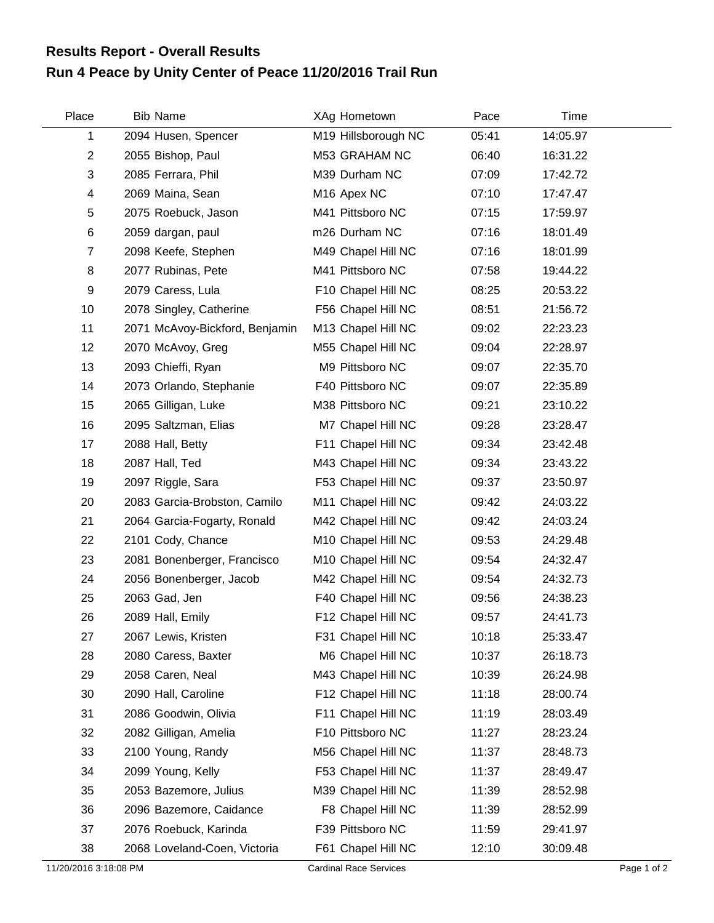## **Run 4 Peace by Unity Center of Peace 11/20/2016 Trail Run Results Report - Overall Results**

| Place          | <b>Bib Name</b>                | XAg Hometown            | Pace  | Time     |  |
|----------------|--------------------------------|-------------------------|-------|----------|--|
| 1              | 2094 Husen, Spencer            | M19 Hillsborough NC     | 05:41 | 14:05.97 |  |
| $\overline{2}$ | 2055 Bishop, Paul              | M53 GRAHAM NC           | 06:40 | 16:31.22 |  |
| 3              | 2085 Ferrara, Phil             | M39 Durham NC           | 07:09 | 17:42.72 |  |
| 4              | 2069 Maina, Sean               | M <sub>16</sub> Apex NC | 07:10 | 17:47.47 |  |
| 5              | 2075 Roebuck, Jason            | M41 Pittsboro NC        | 07:15 | 17:59.97 |  |
| $\,6$          | 2059 dargan, paul              | m26 Durham NC           | 07:16 | 18:01.49 |  |
| $\overline{7}$ | 2098 Keefe, Stephen            | M49 Chapel Hill NC      | 07:16 | 18:01.99 |  |
| 8              | 2077 Rubinas, Pete             | M41 Pittsboro NC        | 07:58 | 19:44.22 |  |
| 9              | 2079 Caress, Lula              | F10 Chapel Hill NC      | 08:25 | 20:53.22 |  |
| 10             | 2078 Singley, Catherine        | F56 Chapel Hill NC      | 08:51 | 21:56.72 |  |
| 11             | 2071 McAvoy-Bickford, Benjamin | M13 Chapel Hill NC      | 09:02 | 22:23.23 |  |
| 12             | 2070 McAvoy, Greg              | M55 Chapel Hill NC      | 09:04 | 22:28.97 |  |
| 13             | 2093 Chieffi, Ryan             | M9 Pittsboro NC         | 09:07 | 22:35.70 |  |
| 14             | 2073 Orlando, Stephanie        | F40 Pittsboro NC        | 09:07 | 22:35.89 |  |
| 15             | 2065 Gilligan, Luke            | M38 Pittsboro NC        | 09:21 | 23:10.22 |  |
| 16             | 2095 Saltzman, Elias           | M7 Chapel Hill NC       | 09:28 | 23:28.47 |  |
| 17             | 2088 Hall, Betty               | F11 Chapel Hill NC      | 09:34 | 23:42.48 |  |
| 18             | 2087 Hall, Ted                 | M43 Chapel Hill NC      | 09:34 | 23:43.22 |  |
| 19             | 2097 Riggle, Sara              | F53 Chapel Hill NC      | 09:37 | 23:50.97 |  |
| 20             | 2083 Garcia-Brobston, Camilo   | M11 Chapel Hill NC      | 09:42 | 24:03.22 |  |
| 21             | 2064 Garcia-Fogarty, Ronald    | M42 Chapel Hill NC      | 09:42 | 24:03.24 |  |
| 22             | 2101 Cody, Chance              | M10 Chapel Hill NC      | 09:53 | 24:29.48 |  |
| 23             | 2081 Bonenberger, Francisco    | M10 Chapel Hill NC      | 09:54 | 24:32.47 |  |
| 24             | 2056 Bonenberger, Jacob        | M42 Chapel Hill NC      | 09:54 | 24:32.73 |  |
| 25             | 2063 Gad, Jen                  | F40 Chapel Hill NC      | 09:56 | 24:38.23 |  |
| 26             | 2089 Hall, Emily               | F12 Chapel Hill NC      | 09:57 | 24:41.73 |  |
| 27             | 2067 Lewis, Kristen            | F31 Chapel Hill NC      | 10:18 | 25:33.47 |  |
| 28             | 2080 Caress, Baxter            | M6 Chapel Hill NC       | 10:37 | 26:18.73 |  |
| 29             | 2058 Caren, Neal               | M43 Chapel Hill NC      | 10:39 | 26:24.98 |  |
| 30             | 2090 Hall, Caroline            | F12 Chapel Hill NC      | 11:18 | 28:00.74 |  |
| 31             | 2086 Goodwin, Olivia           | F11 Chapel Hill NC      | 11:19 | 28:03.49 |  |
| 32             | 2082 Gilligan, Amelia          | F10 Pittsboro NC        | 11:27 | 28:23.24 |  |
| 33             | 2100 Young, Randy              | M56 Chapel Hill NC      | 11:37 | 28:48.73 |  |
| 34             | 2099 Young, Kelly              | F53 Chapel Hill NC      | 11:37 | 28:49.47 |  |
| 35             | 2053 Bazemore, Julius          | M39 Chapel Hill NC      | 11:39 | 28:52.98 |  |
| 36             | 2096 Bazemore, Caidance        | F8 Chapel Hill NC       | 11:39 | 28:52.99 |  |
| 37             | 2076 Roebuck, Karinda          | F39 Pittsboro NC        | 11:59 | 29:41.97 |  |
| 38             | 2068 Loveland-Coen, Victoria   | F61 Chapel Hill NC      | 12:10 | 30:09.48 |  |